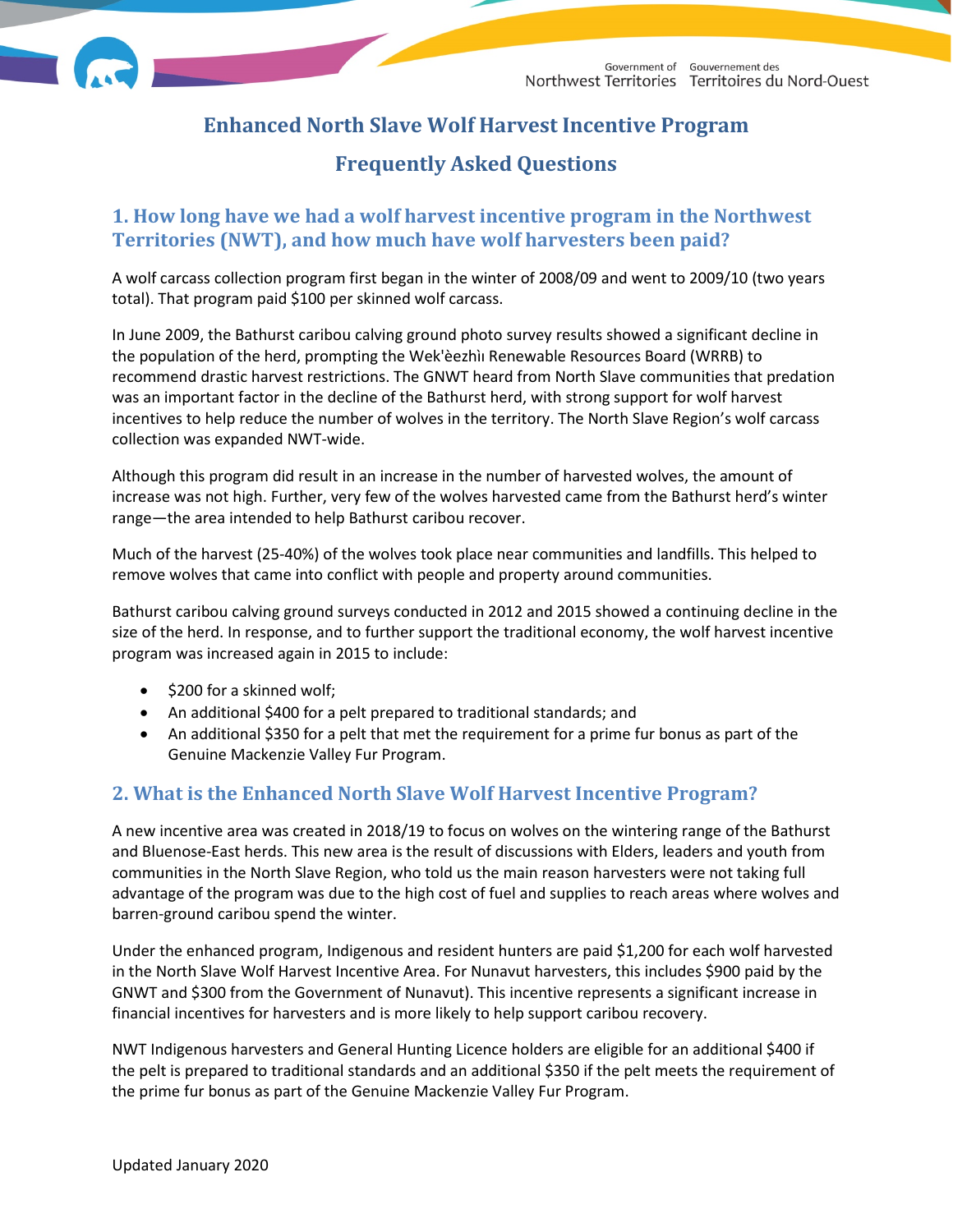

# **Enhanced North Slave Wolf Harvest Incentive Program**

# **Frequently Asked Questions**

## **1. How long have we had a wolf harvest incentive program in the Northwest Territories (NWT), and how much have wolf harvesters been paid?**

A wolf carcass collection program first began in the winter of 2008/09 and went to 2009/10 (two years total). That program paid \$100 per skinned wolf carcass.

In June 2009, the Bathurst caribou calving ground photo survey results showed a significant decline in the population of the herd, prompting the Wek'èezhìı Renewable Resources Board (WRRB) to recommend drastic harvest restrictions. The GNWT heard from North Slave communities that predation was an important factor in the decline of the Bathurst herd, with strong support for wolf harvest incentives to help reduce the number of wolves in the territory. The North Slave Region's wolf carcass collection was expanded NWT-wide.

Although this program did result in an increase in the number of harvested wolves, the amount of increase was not high. Further, very few of the wolves harvested came from the Bathurst herd's winter range—the area intended to help Bathurst caribou recover.

Much of the harvest (25-40%) of the wolves took place near communities and landfills. This helped to remove wolves that came into conflict with people and property around communities.

Bathurst caribou calving ground surveys conducted in 2012 and 2015 showed a continuing decline in the size of the herd. In response, and to further support the traditional economy, the wolf harvest incentive program was increased again in 2015 to include:

- \$200 for a skinned wolf;
- An additional \$400 for a pelt prepared to traditional standards; and
- An additional \$350 for a pelt that met the requirement for a prime fur bonus as part of the Genuine Mackenzie Valley Fur Program.

### **2. What is the Enhanced North Slave Wolf Harvest Incentive Program?**

A new incentive area was created in 2018/19 to focus on wolves on the wintering range of the Bathurst and Bluenose-East herds. This new area is the result of discussions with Elders, leaders and youth from communities in the North Slave Region, who told us the main reason harvesters were not taking full advantage of the program was due to the high cost of fuel and supplies to reach areas where wolves and barren-ground caribou spend the winter.

Under the enhanced program, Indigenous and resident hunters are paid \$1,200 for each wolf harvested in the North Slave Wolf Harvest Incentive Area. For Nunavut harvesters, this includes \$900 paid by the GNWT and \$300 from the Government of Nunavut). This incentive represents a significant increase in financial incentives for harvesters and is more likely to help support caribou recovery.

NWT Indigenous harvesters and General Hunting Licence holders are eligible for an additional \$400 if the pelt is prepared to traditional standards and an additional \$350 if the pelt meets the requirement of the prime fur bonus as part of the Genuine Mackenzie Valley Fur Program.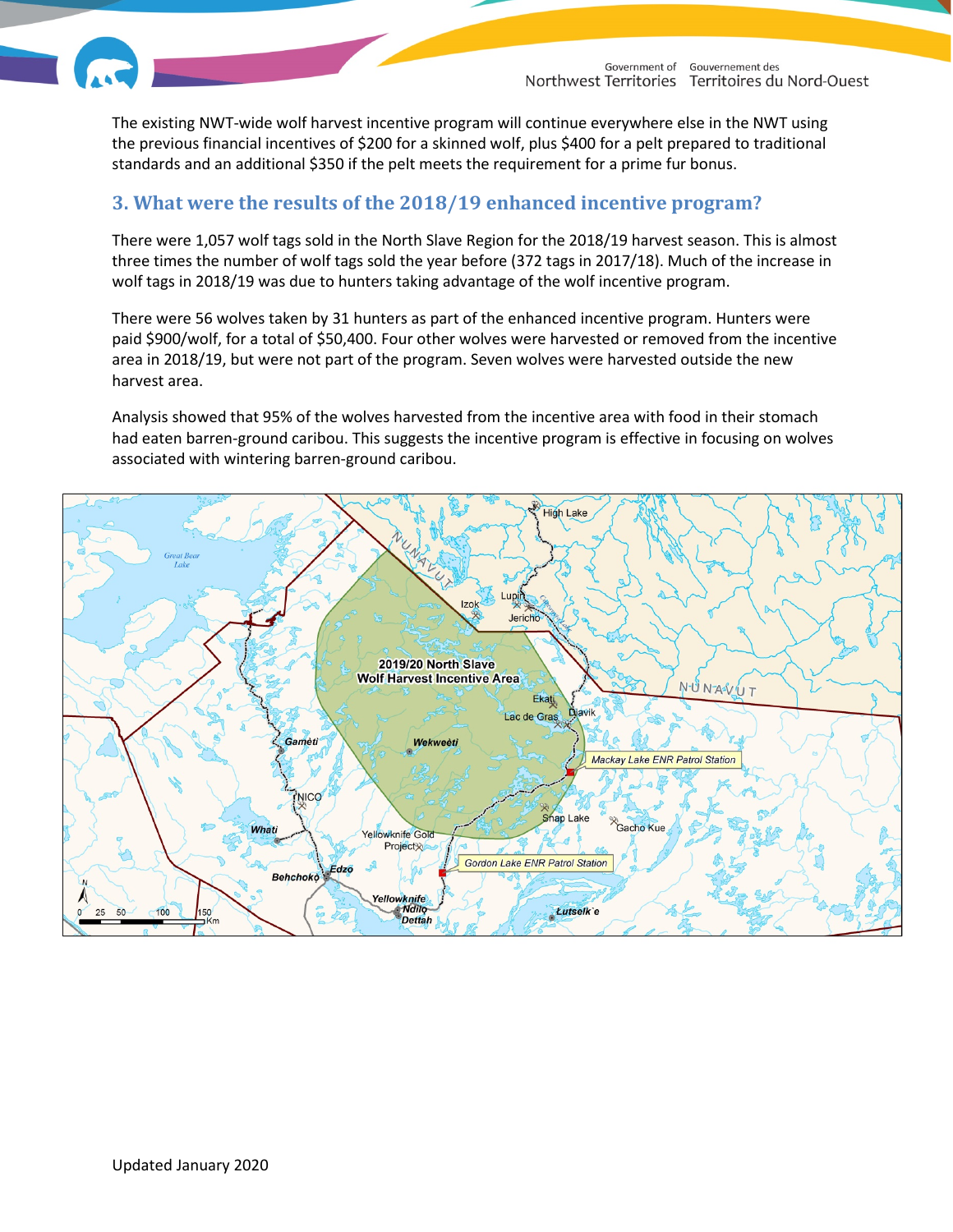

The existing NWT-wide wolf harvest incentive program will continue everywhere else in the NWT using the previous financial incentives of \$200 for a skinned wolf, plus \$400 for a pelt prepared to traditional standards and an additional \$350 if the pelt meets the requirement for a prime fur bonus.

#### **3. What were the results of the 2018/19 enhanced incentive program?**

There were 1,057 wolf tags sold in the North Slave Region for the 2018/19 harvest season. This is almost three times the number of wolf tags sold the year before (372 tags in 2017/18). Much of the increase in wolf tags in 2018/19 was due to hunters taking advantage of the wolf incentive program.

There were 56 wolves taken by 31 hunters as part of the enhanced incentive program. Hunters were paid \$900/wolf, for a total of \$50,400. Four other wolves were harvested or removed from the incentive area in 2018/19, but were not part of the program. Seven wolves were harvested outside the new harvest area.

Analysis showed that 95% of the wolves harvested from the incentive area with food in their stomach had eaten barren-ground caribou. This suggests the incentive program is effective in focusing on wolves associated with wintering barren-ground caribou.

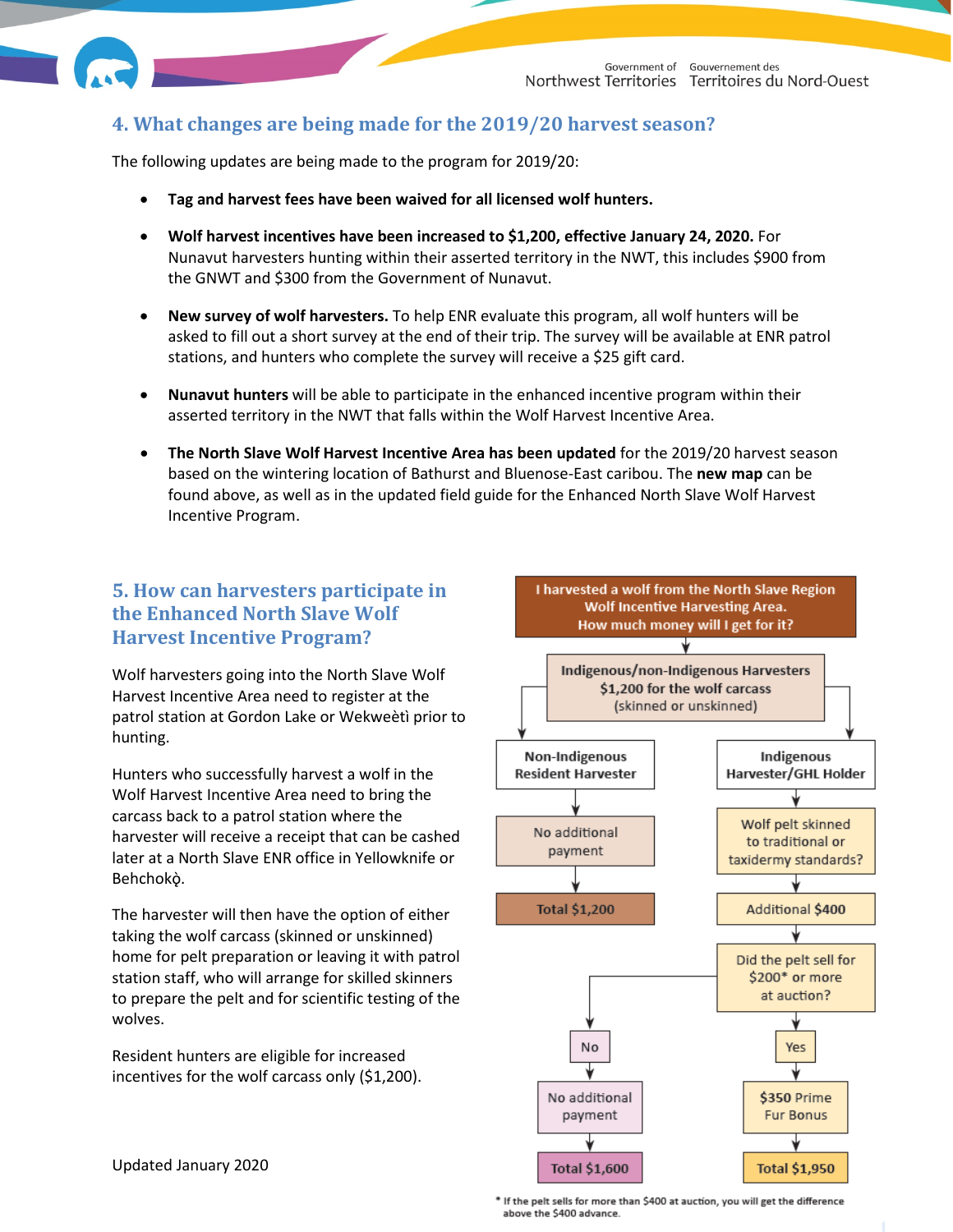## **4. What changes are being made for the 2019/20 harvest season?**

The following updates are being made to the program for 2019/20:

- **Tag and harvest fees have been waived for all licensed wolf hunters.**
- **Wolf harvest incentives have been increased to \$1,200, effective January 24, 2020.** For Nunavut harvesters hunting within their asserted territory in the NWT, this includes \$900 from the GNWT and \$300 from the Government of Nunavut.
- **New survey of wolf harvesters.** To help ENR evaluate this program, all wolf hunters will be asked to fill out a short survey at the end of their trip. The survey will be available at ENR patrol stations, and hunters who complete the survey will receive a \$25 gift card.
- **Nunavut hunters** will be able to participate in the enhanced incentive program within their asserted territory in the NWT that falls within the Wolf Harvest Incentive Area.
- **The North Slave Wolf Harvest Incentive Area has been updated** for the 2019/20 harvest season based on the wintering location of Bathurst and Bluenose-East caribou. The **new map** can be found above, as well as in the updated field guide for the Enhanced North Slave Wolf Harvest Incentive Program.

## **5. How can harvesters participate in the Enhanced North Slave Wolf Harvest Incentive Program?**

Wolf harvesters going into the North Slave Wolf Harvest Incentive Area need to register at the patrol station at Gordon Lake or Wekweètì prior to hunting.

Hunters who successfully harvest a wolf in the Wolf Harvest Incentive Area need to bring the carcass back to a patrol station where the harvester will receive a receipt that can be cashed later at a North Slave ENR office in Yellowknife or Behchokò.

The harvester will then have the option of either taking the wolf carcass (skinned or unskinned) home for pelt preparation or leaving it with patrol station staff, who will arrange for skilled skinners to prepare the pelt and for scientific testing of the wolves.

Resident hunters are eligible for increased incentives for the wolf carcass only (\$1,200).



Updated January 2020

\* If the pelt sells for more than \$400 at auction, you will get the difference above the \$400 advance.